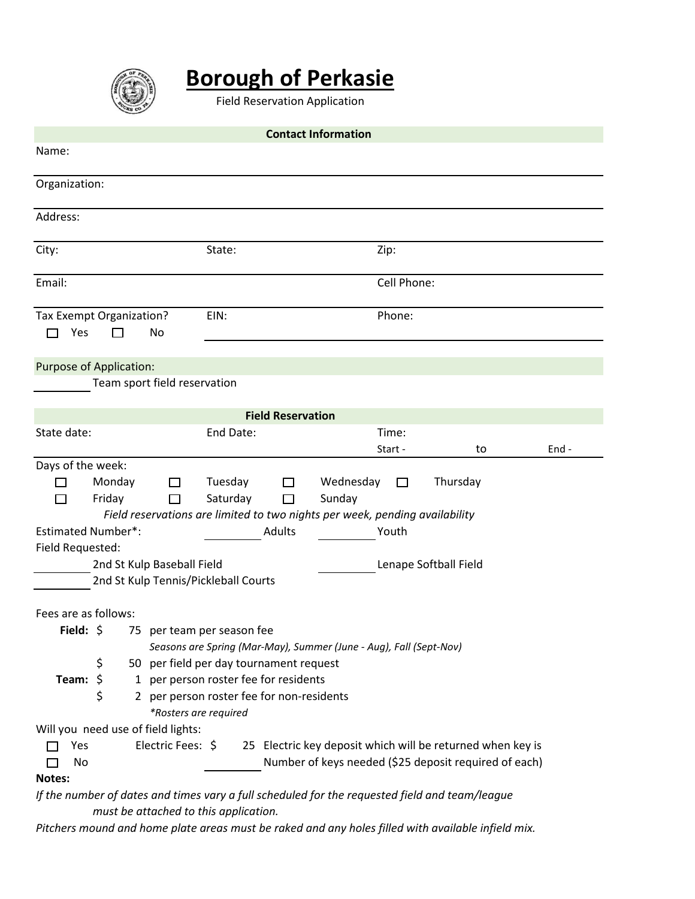

# **Borough of Perkasie**

Field Reservation Application

| <b>Contact Information</b>                                                                         |                                           |                           |          |       |  |
|----------------------------------------------------------------------------------------------------|-------------------------------------------|---------------------------|----------|-------|--|
| Name:                                                                                              |                                           |                           |          |       |  |
| Organization:                                                                                      |                                           |                           |          |       |  |
| Address:                                                                                           |                                           |                           |          |       |  |
| City:                                                                                              | State:                                    | Zip:                      |          |       |  |
| Email:                                                                                             |                                           | Cell Phone:               |          |       |  |
| Tax Exempt Organization?<br>Yes<br>No<br>П<br>l 1                                                  | EIN:                                      | Phone:                    |          |       |  |
| <b>Purpose of Application:</b>                                                                     |                                           |                           |          |       |  |
| Team sport field reservation                                                                       |                                           |                           |          |       |  |
| <b>Field Reservation</b>                                                                           |                                           |                           |          |       |  |
| State date:                                                                                        | End Date:                                 | Time:                     |          |       |  |
|                                                                                                    |                                           | Start -                   | to       | End - |  |
| Days of the week:                                                                                  |                                           |                           |          |       |  |
| Monday<br>П<br>ΙI                                                                                  | Tuesday<br>$\Box$                         | Wednesday<br>$\mathsf{L}$ | Thursday |       |  |
| Friday<br>П                                                                                        | Saturday<br>П                             | Sunday                    |          |       |  |
| Field reservations are limited to two nights per week, pending availability                        |                                           |                           |          |       |  |
| <b>Estimated Number*:</b>                                                                          | <b>Adults</b>                             | Youth                     |          |       |  |
| Field Requested:                                                                                   |                                           |                           |          |       |  |
| 2nd St Kulp Baseball Field<br>Lenape Softball Field                                                |                                           |                           |          |       |  |
| 2nd St Kulp Tennis/Pickleball Courts                                                               |                                           |                           |          |       |  |
| Fees are as follows:                                                                               |                                           |                           |          |       |  |
| Field: \$<br>75 per team per season fee                                                            |                                           |                           |          |       |  |
| Seasons are Spring (Mar-May), Summer (June - Aug), Fall (Sept-Nov)                                 |                                           |                           |          |       |  |
| \$<br>50 per field per day tournament request                                                      |                                           |                           |          |       |  |
| \$<br>Team:                                                                                        | 1 per person roster fee for residents     |                           |          |       |  |
| \$                                                                                                 | 2 per person roster fee for non-residents |                           |          |       |  |
| *Rosters are required                                                                              |                                           |                           |          |       |  |
| Will you need use of field lights:                                                                 |                                           |                           |          |       |  |
| Electric Fees: \$<br>25 Electric key deposit which will be returned when key is<br>Yes             |                                           |                           |          |       |  |
| Number of keys needed (\$25 deposit required of each)<br>No                                        |                                           |                           |          |       |  |
| Notes:                                                                                             |                                           |                           |          |       |  |
| If the number of dates and times vary a full scheduled for the requested field and team/league     |                                           |                           |          |       |  |
| must be attached to this application.                                                              |                                           |                           |          |       |  |
| Pitchers mound and home plate areas must be raked and any holes filled with available infield mix. |                                           |                           |          |       |  |